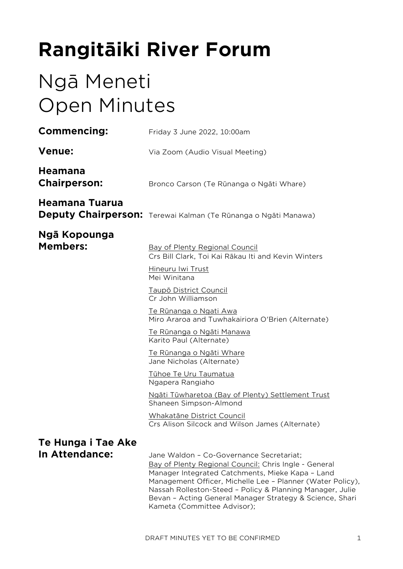# **Rangitāiki River Forum**

# Ngā Meneti Open Minutes

| <b>Commencing:</b>                    | Friday 3 June 2022, 10:00am                                                                                                                                                                                                                                                                                                                                                 |
|---------------------------------------|-----------------------------------------------------------------------------------------------------------------------------------------------------------------------------------------------------------------------------------------------------------------------------------------------------------------------------------------------------------------------------|
| <b>Venue:</b>                         | Via Zoom (Audio Visual Meeting)                                                                                                                                                                                                                                                                                                                                             |
| <b>Heamana</b><br><b>Chairperson:</b> | Bronco Carson (Te Rūnanga o Ngāti Whare)                                                                                                                                                                                                                                                                                                                                    |
| Heamana Tuarua                        | Deputy Chairperson: Terewai Kalman (Te Rūnanga o Ngāti Manawa)                                                                                                                                                                                                                                                                                                              |
| Ngā Kopounga<br><b>Members:</b>       | Bay of Plenty Regional Council<br>Crs Bill Clark, Toi Kai Rākau Iti and Kevin Winters                                                                                                                                                                                                                                                                                       |
|                                       | Hineuru Iwi Trust<br>Mei Winitana                                                                                                                                                                                                                                                                                                                                           |
|                                       | <u>Taupō District Council</u><br>Cr John Williamson                                                                                                                                                                                                                                                                                                                         |
|                                       | <u>Te Rūnanga o Ngati Awa</u><br>Miro Araroa and Tuwhakairiora O'Brien (Alternate)                                                                                                                                                                                                                                                                                          |
|                                       | <u>Te Rūnanga o Ngāti Manawa</u><br>Karito Paul (Alternate)                                                                                                                                                                                                                                                                                                                 |
|                                       | <u>Te Rūnanga o Ngāti Whare</u><br>Jane Nicholas (Alternate)                                                                                                                                                                                                                                                                                                                |
|                                       | Tūhoe Te Uru Taumatua<br>Ngapera Rangiaho                                                                                                                                                                                                                                                                                                                                   |
|                                       | Ngāti Tūwharetoa (Bay of Plenty) Settlement Trust<br>Shaneen Simpson-Almond                                                                                                                                                                                                                                                                                                 |
|                                       | Whakatāne District Council<br>Crs Alison Silcock and Wilson James (Alternate)                                                                                                                                                                                                                                                                                               |
| Te Hunga i Tae Ake<br>In Attendance:  | Jane Waldon - Co-Governance Secretariat;<br>Bay of Plenty Regional Council: Chris Ingle - General<br>Manager Integrated Catchments, Mieke Kapa - Land<br>Management Officer, Michelle Lee - Planner (Water Policy),<br>Nassah Rolleston-Steed - Policy & Planning Manager, Julie<br>Bevan - Acting General Manager Strategy & Science, Shari<br>Kameta (Committee Advisor); |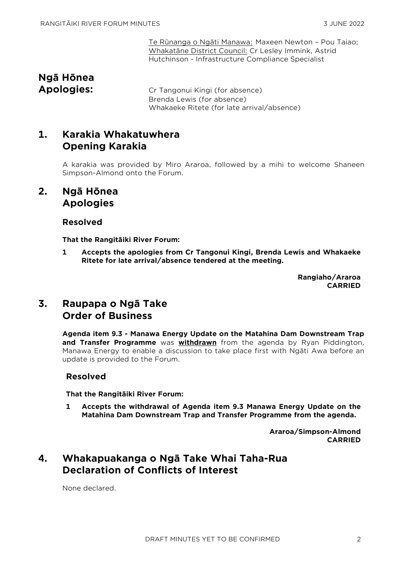Te Rūnanga o Ngāti Manawa: Maxeen Newton – Pou Taiao; Whakatāne District Council: Cr Lesley Immink, Astrid Hutchinson - Infrastructure Compliance Specialist

# **Ngā Hōnea**

**Apologies:** Cr Tangonui Kingi (for absence) Brenda Lewis (for absence) Whakaeke Ritete (for late arrival/absence)

# **1. Karakia Whakatuwhera Opening Karakia**

A karakia was provided by Miro Araroa, followed by a mihi to welcome Shaneen Simpson-Almond onto the Forum.

## **2. Ngā Hōnea Apologies**

## **Resolved**

**That the Rangitāiki River Forum:**

**1 Accepts the apologies from Cr Tangonui Kingi, Brenda Lewis and Whakaeke Ritete for late arrival/absence tendered at the meeting.**

> **Rangiaho/Araroa CARRIED**

# **3. Raupapa o Ngā Take Order of Business**

**Agenda item 9.3 - Manawa Energy Update on the Matahina Dam Downstream Trap and Transfer Programme** was **withdrawn** from the agenda by Ryan Piddington, Manawa Energy to enable a discussion to take place first with Ngāti Awa before an update is provided to the Forum.

## **Resolved**

**That the Rangitāiki River Forum:**

**1 Accepts the withdrawal of Agenda item 9.3 Manawa Energy Update on the Matahina Dam Downstream Trap and Transfer Programme from the agenda.**

> **Araroa/Simpson-Almond CARRIED**

# **4. Whakapuakanga o Ngā Take Whai Taha-Rua Declaration of Conflicts of Interest**

None declared.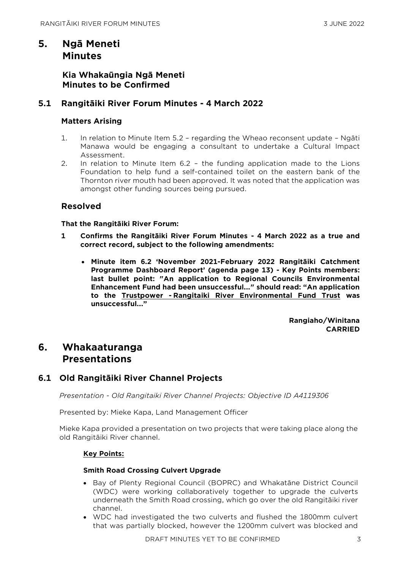# **5. Ngā Meneti Minutes**

## **Kia Whakaūngia Ngā Meneti Minutes to be Confirmed**

## **5.1 Rangitāiki River Forum Minutes - 4 March 2022**

## **Matters Arising**

- 1. In relation to Minute Item 5.2 regarding the Wheao reconsent update Ngāti Manawa would be engaging a consultant to undertake a Cultural Impact Assessment.
- 2. In relation to Minute Item 6.2 the funding application made to the Lions Foundation to help fund a self-contained toilet on the eastern bank of the Thornton river mouth had been approved. It was noted that the application was amongst other funding sources being pursued.

## **Resolved**

#### **That the Rangitāiki River Forum:**

- **1 Confirms the Rangitāiki River Forum Minutes - 4 March 2022 as a true and correct record, subject to the following amendments:**
	- **Minute item 6.2 'November 2021-February 2022 Rangitāiki Catchment Programme Dashboard Report' (agenda page 13) - Key Points members: last bullet point: "An application to Regional Councils Environmental Enhancement Fund had been unsuccessful..." should read: "An application to the Trustpower - Rangitaiki River Environmental Fund Trust was unsuccessful..."**

**Rangiaho/Winitana CARRIED**

# **6. Whakaaturanga Presentations**

## **6.1 Old Rangitāiki River Channel Projects**

*Presentation - Old Rangitaiki River Channel Projects: Objective ID A4119306* 

Presented by: Mieke Kapa, Land Management Officer

Mieke Kapa provided a presentation on two projects that were taking place along the old Rangitāiki River channel.

## **Key Points:**

## **Smith Road Crossing Culvert Upgrade**

- Bay of Plenty Regional Council (BOPRC) and Whakatāne District Council (WDC) were working collaboratively together to upgrade the culverts underneath the Smith Road crossing, which go over the old Rangitāiki river channel.
- WDC had investigated the two culverts and flushed the 1800mm culvert that was partially blocked, however the 1200mm culvert was blocked and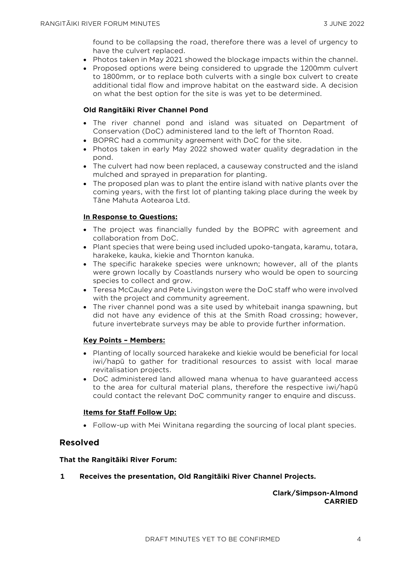found to be collapsing the road, therefore there was a level of urgency to have the culvert replaced.

- Photos taken in May 2021 showed the blockage impacts within the channel.
- Proposed options were being considered to upgrade the 1200mm culvert to 1800mm, or to replace both culverts with a single box culvert to create additional tidal flow and improve habitat on the eastward side. A decision on what the best option for the site is was yet to be determined.

#### **Old Rangitāiki River Channel Pond**

- The river channel pond and island was situated on Department of Conservation (DoC) administered land to the left of Thornton Road.
- BOPRC had a community agreement with DoC for the site.
- Photos taken in early May 2022 showed water quality degradation in the pond.
- The culvert had now been replaced, a causeway constructed and the island mulched and sprayed in preparation for planting.
- The proposed plan was to plant the entire island with native plants over the coming years, with the first lot of planting taking place during the week by Tāne Mahuta Aotearoa Ltd.

#### **In Response to Questions:**

- The project was financially funded by the BOPRC with agreement and collaboration from DoC.
- Plant species that were being used included upoko-tangata, karamu, totara, harakeke, kauka, kiekie and Thornton kanuka.
- The specific harakeke species were unknown; however, all of the plants were grown locally by Coastlands nursery who would be open to sourcing species to collect and grow.
- Teresa McCauley and Pete Livingston were the DoC staff who were involved with the project and community agreement.
- The river channel pond was a site used by whitebait inanga spawning, but did not have any evidence of this at the Smith Road crossing; however, future invertebrate surveys may be able to provide further information.

#### **Key Points – Members:**

- Planting of locally sourced harakeke and kiekie would be beneficial for local iwi/hapū to gather for traditional resources to assist with local marae revitalisation projects.
- DoC administered land allowed mana whenua to have guaranteed access to the area for cultural material plans, therefore the respective iwi/hapū could contact the relevant DoC community ranger to enquire and discuss.

#### **Items for Staff Follow Up:**

• Follow-up with Mei Winitana regarding the sourcing of local plant species.

#### **Resolved**

#### **That the Rangitāiki River Forum:**

**1 Receives the presentation, Old Rangitāiki River Channel Projects.**

#### **Clark/Simpson-Almond CARRIED**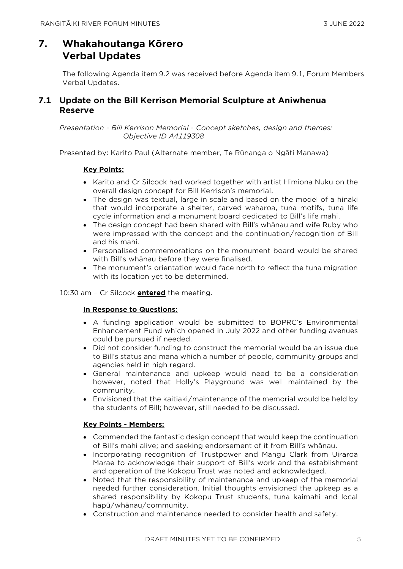# **7. Whakahoutanga Kōrero Verbal Updates**

The following Agenda item 9.2 was received before Agenda item 9.1, Forum Members Verbal Updates.

## **7.1 Update on the Bill Kerrison Memorial Sculpture at Aniwhenua Reserve**

*Presentation - Bill Kerrison Memorial - Concept sketches, design and themes: Objective ID A4119308* 

Presented by: Karito Paul (Alternate member, Te Rūnanga o Ngāti Manawa)

## **Key Points:**

- Karito and Cr Silcock had worked together with artist Himiona Nuku on the overall design concept for Bill Kerrison's memorial.
- The design was textual, large in scale and based on the model of a hinaki that would incorporate a shelter, carved waharoa, tuna motifs, tuna life cycle information and a monument board dedicated to Bill's life mahi.
- The design concept had been shared with Bill's whānau and wife Ruby who were impressed with the concept and the continuation/recognition of Bill and his mahi.
- Personalised commemorations on the monument board would be shared with Bill's whānau before they were finalised.
- The monument's orientation would face north to reflect the tuna migration with its location yet to be determined.

10:30 am – Cr Silcock **entered** the meeting.

## **In Response to Questions:**

- A funding application would be submitted to BOPRC's Environmental Enhancement Fund which opened in July 2022 and other funding avenues could be pursued if needed.
- Did not consider funding to construct the memorial would be an issue due to Bill's status and mana which a number of people, community groups and agencies held in high regard.
- General maintenance and upkeep would need to be a consideration however, noted that Holly's Playground was well maintained by the community.
- Envisioned that the kaitiaki/maintenance of the memorial would be held by the students of Bill; however, still needed to be discussed.

## **Key Points - Members:**

- Commended the fantastic design concept that would keep the continuation of Bill's mahi alive; and seeking endorsement of it from Bill's whānau.
- Incorporating recognition of Trustpower and Mangu Clark from Uiraroa Marae to acknowledge their support of Bill's work and the establishment and operation of the Kokopu Trust was noted and acknowledged.
- Noted that the responsibility of maintenance and upkeep of the memorial needed further consideration. Initial thoughts envisioned the upkeep as a shared responsibility by Kokopu Trust students, tuna kaimahi and local hapū/whānau/community.
- Construction and maintenance needed to consider health and safety.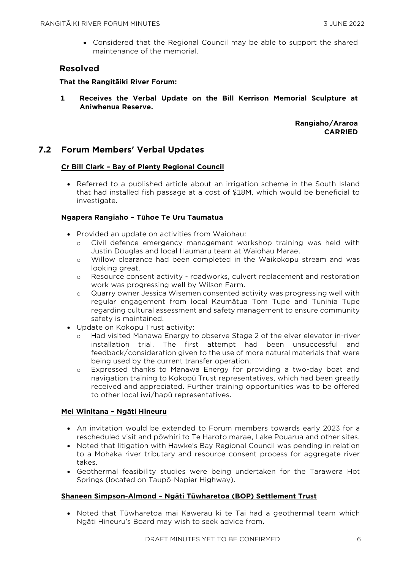• Considered that the Regional Council may be able to support the shared maintenance of the memorial.

## **Resolved**

**That the Rangitāiki River Forum:**

**1 Receives the Verbal Update on the Bill Kerrison Memorial Sculpture at Aniwhenua Reserve.**

> **Rangiaho/Araroa CARRIED**

## **7.2 Forum Members' Verbal Updates**

#### **Cr Bill Clark – Bay of Plenty Regional Council**

• Referred to a published article about an irrigation scheme in the South Island that had installed fish passage at a cost of \$18M, which would be beneficial to investigate.

#### **Ngapera Rangiaho – Tūhoe Te Uru Taumatua**

- Provided an update on activities from Waiohau:
	- o Civil defence emergency management workshop training was held with Justin Douglas and local Haumaru team at Waiohau Marae.
	- o Willow clearance had been completed in the Waikokopu stream and was looking great.
	- o Resource consent activity roadworks, culvert replacement and restoration work was progressing well by Wilson Farm.
	- o Quarry owner Jessica Wisemen consented activity was progressing well with regular engagement from local Kaumātua Tom Tupe and Tunihia Tupe regarding cultural assessment and safety management to ensure community safety is maintained.
- Update on Kokopu Trust activity:
	- o Had visited Manawa Energy to observe Stage 2 of the elver elevator in-river installation trial. The first attempt had been unsuccessful and feedback/consideration given to the use of more natural materials that were being used by the current transfer operation.
	- o Expressed thanks to Manawa Energy for providing a two-day boat and navigation training to Kokopū Trust representatives, which had been greatly received and appreciated. Further training opportunities was to be offered to other local iwi/hapū representatives.

#### **Mei Winitana – Ngāti Hineuru**

- An invitation would be extended to Forum members towards early 2023 for a rescheduled visit and pōwhiri to Te Haroto marae, Lake Pouarua and other sites.
- Noted that litigation with Hawke's Bay Regional Council was pending in relation to a Mohaka river tributary and resource consent process for aggregate river takes.
- Geothermal feasibility studies were being undertaken for the Tarawera Hot Springs (located on Taupō-Napier Highway).

#### **Shaneen Simpson-Almond – Ngāti Tūwharetoa (BOP) Settlement Trust**

• Noted that Tūwharetoa mai Kawerau ki te Tai had a geothermal team which Ngāti Hineuru's Board may wish to seek advice from.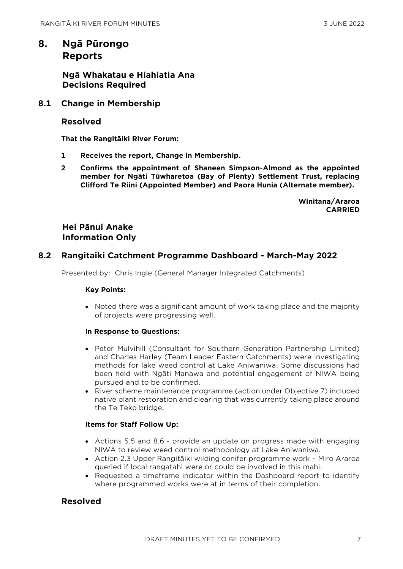## **8. Ngā Pūrongo Reports**

**Ngā Whakatau e Hiahiatia Ana Decisions Required**

## **8.1 Change in Membership**

#### **Resolved**

**That the Rangitāiki River Forum:**

- **1 Receives the report, Change in Membership.**
- **2 Confirms the appointment of Shaneen Simpson-Almond as the appointed member for Ngāti Tūwharetoa (Bay of Plenty) Settlement Trust, replacing Clifford Te Riini (Appointed Member) and Paora Hunia (Alternate member).**

**Winitana/Araroa CARRIED**

## **Hei Pānui Anake Information Only**

## **8.2 Rangitaiki Catchment Programme Dashboard - March-May 2022**

Presented by: Chris Ingle (General Manager Integrated Catchments)

#### **Key Points:**

• Noted there was a significant amount of work taking place and the majority of projects were progressing well.

#### **In Response to Questions:**

- Peter Mulvihill (Consultant for Southern Generation Partnership Limited) and Charles Harley (Team Leader Eastern Catchments) were investigating methods for lake weed control at Lake Aniwaniwa. Some discussions had been held with Ngāti Manawa and potential engagement of NIWA being pursued and to be confirmed.
- River scheme maintenance programme (action under Objective 7) included native plant restoration and clearing that was currently taking place around the Te Teko bridge.

#### **Items for Staff Follow Up:**

- Actions 5.5 and 8.6 provide an update on progress made with engaging NIWA to review weed control methodology at Lake Aniwaniwa.
- Action 2.3 Upper Rangitāiki wilding conifer programme work Miro Araroa queried if local rangatahi were or could be involved in this mahi.
- Requested a timeframe indicator within the Dashboard report to identify where programmed works were at in terms of their completion.

## **Resolved**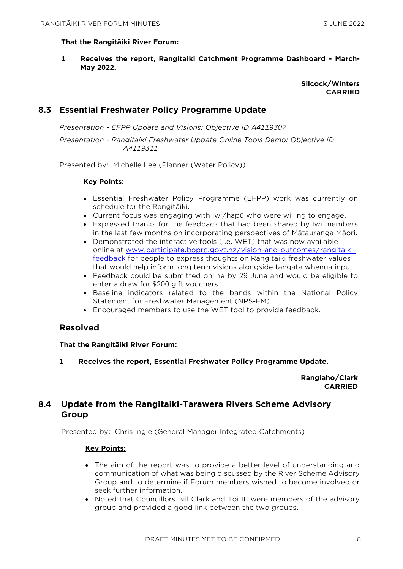#### **That the Rangitāiki River Forum:**

**1 Receives the report, Rangitaiki Catchment Programme Dashboard - March-May 2022.**

#### **Silcock/Winters CARRIED**

## **8.3 Essential Freshwater Policy Programme Update**

*Presentation - EFPP Update and Visions: Objective ID A4119307* 

*Presentation - Rangitaiki Freshwater Update Online Tools Demo: Objective ID A4119311* 

Presented by: Michelle Lee (Planner (Water Policy))

#### **Key Points:**

- Essential Freshwater Policy Programme (EFPP) work was currently on schedule for the Rangitāiki.
- Current focus was engaging with iwi/hapū who were willing to engage.
- Expressed thanks for the feedback that had been shared by Iwi members in the last few months on incorporating perspectives of Mātauranga Māori.
- Demonstrated the interactive tools (i.e. WET) that was now available online at [www.participate.boprc.govt.nz/vision-and-outcomes/rangitaiki](http://www.participate.boprc.govt.nz/vision-and-outcomes/rangitaiki-feedback)[feedback](http://www.participate.boprc.govt.nz/vision-and-outcomes/rangitaiki-feedback) for people to express thoughts on Rangitāiki freshwater values that would help inform long term visions alongside tangata whenua input.
- Feedback could be submitted online by 29 June and would be eligible to enter a draw for \$200 gift vouchers.
- Baseline indicators related to the bands within the National Policy Statement for Freshwater Management (NPS-FM).
- Encouraged members to use the WET tool to provide feedback.

## **Resolved**

#### **That the Rangitāiki River Forum:**

**1 Receives the report, Essential Freshwater Policy Programme Update.**

#### **Rangiaho/Clark CARRIED**

## **8.4 Update from the Rangitaiki-Tarawera Rivers Scheme Advisory Group**

Presented by: Chris Ingle (General Manager Integrated Catchments)

#### **Key Points:**

- The aim of the report was to provide a better level of understanding and communication of what was being discussed by the River Scheme Advisory Group and to determine if Forum members wished to become involved or seek further information.
- Noted that Councillors Bill Clark and Toi Iti were members of the advisory group and provided a good link between the two groups.